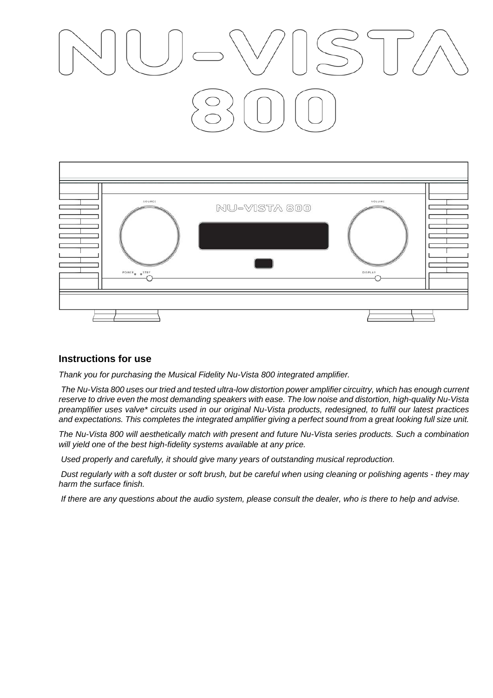| SOURCE<br>POWER STBY | NU-VISTA 800<br>$\mathcal{L}^{\mathcal{L}}$ | VOLUME<br>DISPLAY |  |
|----------------------|---------------------------------------------|-------------------|--|
|                      |                                             |                   |  |

#### **Instructions for use**

*Thank you for purchasing the Musical Fidelity Nu-Vista 800 integrated amplifier.* 

 *The Nu-Vista 800 uses our tried and tested ultra-low distortion power amplifier circuitry, which has enough current reserve to drive even the most demanding speakers with ease. The low noise and distortion, high-quality Nu-Vista preamplifier uses valve\* circuits used in our original Nu-Vista products, redesigned, to fulfil our latest practices and expectations. This completes the integrated amplifier giving a perfect sound from a great looking full size unit.* 

*The Nu-Vista 800 will aesthetically match with present and future Nu-Vista series products. Such a combination will yield one of the best high-fidelity systems available at any price.* 

 *Used properly and carefully, it should give many years of outstanding musical reproduction.* 

 *Dust regularly with a soft duster or soft brush, but be careful when using cleaning or polishing agents - they may harm the surface finish.* 

 *If there are any questions about the audio system, please consult the dealer, who is there to help and advise.*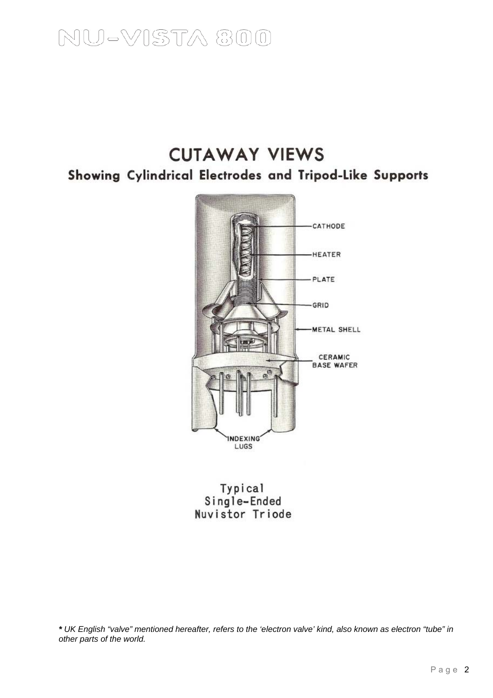### **CUTAWAY VIEWS** Showing Cylindrical Electrodes and Tripod-Like Supports



Typical<br>Single-Ended<br>Nuvistor Triode

*\* UK English "valve" mentioned hereafter, refers to the 'electron valve' kind, also known as electron "tube" in other parts of the world.*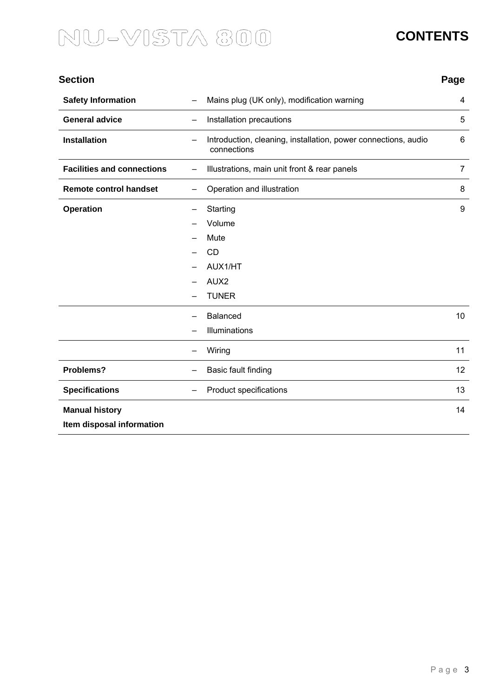### **CONTENTS**

| <b>Section</b>                                     |                                                                                        | Page           |
|----------------------------------------------------|----------------------------------------------------------------------------------------|----------------|
| <b>Safety Information</b>                          | Mains plug (UK only), modification warning                                             | 4              |
| <b>General advice</b>                              | Installation precautions                                                               | 5              |
| <b>Installation</b>                                | Introduction, cleaning, installation, power connections, audio<br>connections          | 6              |
| <b>Facilities and connections</b>                  | Illustrations, main unit front & rear panels                                           | $\overline{7}$ |
| <b>Remote control handset</b>                      | Operation and illustration                                                             | 8              |
| <b>Operation</b>                                   | Starting<br>Volume<br>Mute<br><b>CD</b><br>AUX1/HT<br>AUX <sub>2</sub><br><b>TUNER</b> | 9              |
|                                                    | <b>Balanced</b><br>Illuminations                                                       | 10             |
|                                                    | Wiring                                                                                 | 11             |
| Problems?                                          | Basic fault finding                                                                    | 12             |
| <b>Specifications</b>                              | Product specifications                                                                 | 13             |
| <b>Manual history</b><br>Item disposal information |                                                                                        | 14             |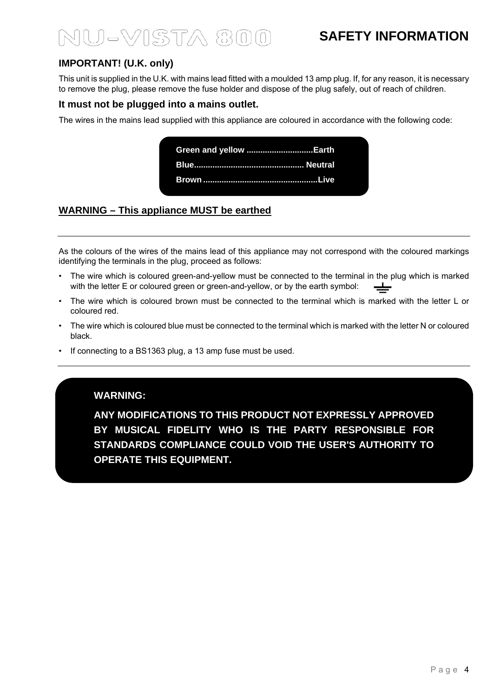### **SAFETY INFORMATION**

### **IMPORTANT! (U.K. only)**

This unit is supplied in the U.K. with mains lead fitted with a moulded 13 amp plug. If, for any reason, it is necessary to remove the plug, please remove the fuse holder and dispose of the plug safely, out of reach of children.

#### **It must not be plugged into a mains outlet.**

The wires in the mains lead supplied with this appliance are coloured in accordance with the following code:



### **WARNING – This appliance MUST be earthed**

As the colours of the wires of the mains lead of this appliance may not correspond with the coloured markings identifying the terminals in the plug, proceed as follows:

- The wire which is coloured green-and-yellow must be connected to the terminal in the plug which is marked with the letter E or coloured green or green-and-yellow, or by the earth symbol:
- The wire which is coloured brown must be connected to the terminal which is marked with the letter L or coloured red.
- The wire which is coloured blue must be connected to the terminal which is marked with the letter N or coloured black.
- If connecting to a BS1363 plug, a 13 amp fuse must be used.

#### **WARNING:**

**ANY MODIFICATIONS TO THIS PRODUCT NOT EXPRESSLY APPROVED BY MUSICAL FIDELITY WHO IS THE PARTY RESPONSIBLE FOR STANDARDS COMPLIANCE COULD VOID THE USER'S AUTHORITY TO OPERATE THIS EQUIPMENT.**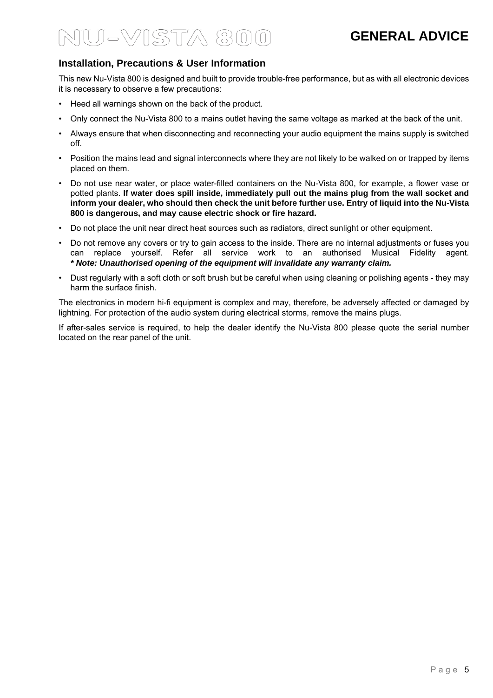### **GENERAL ADVICE**

### **Installation, Precautions & User Information**

This new Nu-Vista 800 is designed and built to provide trouble-free performance, but as with all electronic devices it is necessary to observe a few precautions:

- Heed all warnings shown on the back of the product.
- Only connect the Nu-Vista 800 to a mains outlet having the same voltage as marked at the back of the unit.
- Always ensure that when disconnecting and reconnecting your audio equipment the mains supply is switched off.
- Position the mains lead and signal interconnects where they are not likely to be walked on or trapped by items placed on them.
- Do not use near water, or place water-filled containers on the Nu-Vista 800, for example, a flower vase or potted plants. **If water does spill inside, immediately pull out the mains plug from the wall socket and inform your dealer, who should then check the unit before further use. Entry of liquid into the Nu-Vista 800 is dangerous, and may cause electric shock or fire hazard.**
- Do not place the unit near direct heat sources such as radiators, direct sunlight or other equipment.
- Do not remove any covers or try to gain access to the inside. There are no internal adjustments or fuses you can replace yourself. Refer all service work to an authorised Musical Fidelity agent. *\* Note: Unauthorised opening of the equipment will invalidate any warranty claim.*
- Dust regularly with a soft cloth or soft brush but be careful when using cleaning or polishing agents they may harm the surface finish.

The electronics in modern hi-fi equipment is complex and may, therefore, be adversely affected or damaged by lightning. For protection of the audio system during electrical storms, remove the mains plugs.

If after-sales service is required, to help the dealer identify the Nu-Vista 800 please quote the serial number located on the rear panel of the unit.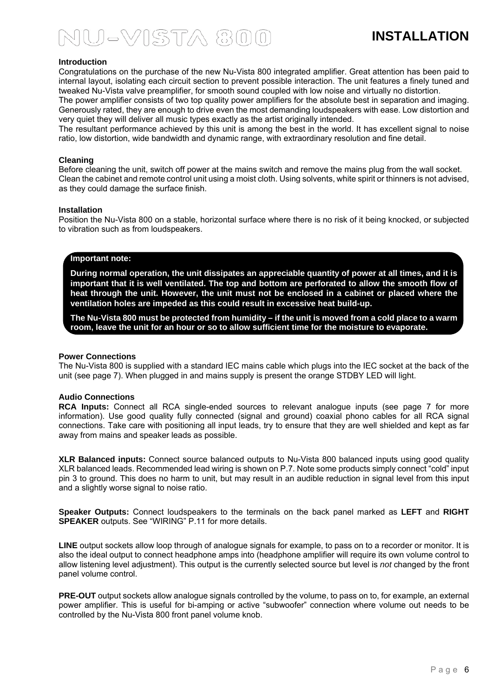#### **Introduction**

Congratulations on the purchase of the new Nu-Vista 800 integrated amplifier. Great attention has been paid to internal layout, isolating each circuit section to prevent possible interaction. The unit features a finely tuned and tweaked Nu-Vista valve preamplifier, for smooth sound coupled with low noise and virtually no distortion.

The power amplifier consists of two top quality power amplifiers for the absolute best in separation and imaging. Generously rated, they are enough to drive even the most demanding loudspeakers with ease. Low distortion and very quiet they will deliver all music types exactly as the artist originally intended.

The resultant performance achieved by this unit is among the best in the world. It has excellent signal to noise ratio, low distortion, wide bandwidth and dynamic range, with extraordinary resolution and fine detail.

#### **Cleaning**

Before cleaning the unit, switch off power at the mains switch and remove the mains plug from the wall socket. Clean the cabinet and remote control unit using a moist cloth. Using solvents, white spirit or thinners is not advised, as they could damage the surface finish.

#### **Installation**

Position the Nu-Vista 800 on a stable, horizontal surface where there is no risk of it being knocked, or subjected to vibration such as from loudspeakers.

#### **Important note:**

**During normal operation, the unit dissipates an appreciable quantity of power at all times, and it is important that it is well ventilated. The top and bottom are perforated to allow the smooth flow of heat through the unit. However, the unit must not be enclosed in a cabinet or placed where the ventilation holes are impeded as this could result in excessive heat build-up.** 

**The Nu-Vista 800 must be protected from humidity – if the unit is moved from a cold place to a warm room, leave the unit for an hour or so to allow sufficient time for the moisture to evaporate.** 

#### **Power Connections**

The Nu-Vista 800 is supplied with a standard IEC mains cable which plugs into the IEC socket at the back of the unit (see page 7). When plugged in and mains supply is present the orange STDBY LED will light.

#### **Audio Connections**

**RCA Inputs:** Connect all RCA single-ended sources to relevant analogue inputs (see page 7 for more information). Use good quality fully connected (signal and ground) coaxial phono cables for all RCA signal connections. Take care with positioning all input leads, try to ensure that they are well shielded and kept as far away from mains and speaker leads as possible.

**XLR Balanced inputs:** Connect source balanced outputs to Nu-Vista 800 balanced inputs using good quality XLR balanced leads. Recommended lead wiring is shown on P.7. Note some products simply connect "cold" input pin 3 to ground. This does no harm to unit, but may result in an audible reduction in signal level from this input and a slightly worse signal to noise ratio.

**Speaker Outputs:** Connect loudspeakers to the terminals on the back panel marked as **LEFT** and **RIGHT SPEAKER** outputs. See "WIRING" P.11 for more details.

LINE output sockets allow loop through of analogue signals for example, to pass on to a recorder or monitor. It is also the ideal output to connect headphone amps into (headphone amplifier will require its own volume control to allow listening level adjustment). This output is the currently selected source but level is *not* changed by the front panel volume control.

**PRE-OUT** output sockets allow analogue signals controlled by the volume, to pass on to, for example, an external power amplifier. This is useful for bi-amping or active "subwoofer" connection where volume out needs to be controlled by the Nu-Vista 800 front panel volume knob.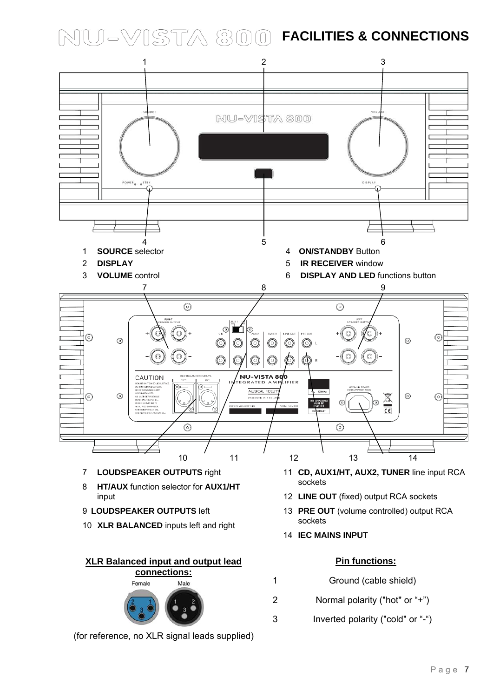**NU-VISTA 800 FACILITIES & CONNECTIONS** 

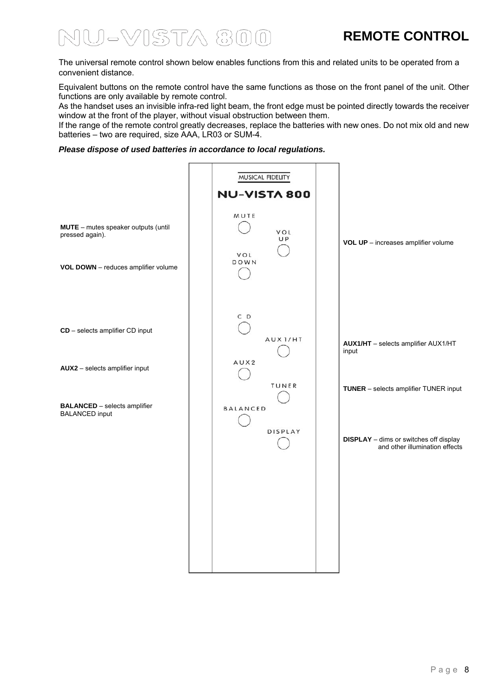### **REMOTE CONTROL**

## U-VISTA 800

The universal remote control shown below enables functions from this and related units to be operated from a convenient distance.

Equivalent buttons on the remote control have the same functions as those on the front panel of the unit. Other functions are only available by remote control.

As the handset uses an invisible infra-red light beam, the front edge must be pointed directly towards the receiver window at the front of the player, without visual obstruction between them.

If the range of the remote control greatly decreases, replace the batteries with new ones. Do not mix old and new batteries – two are required, size AAA, LR03 or SUM-4.

#### *Please dispose of used batteries in accordance to local regulations.*

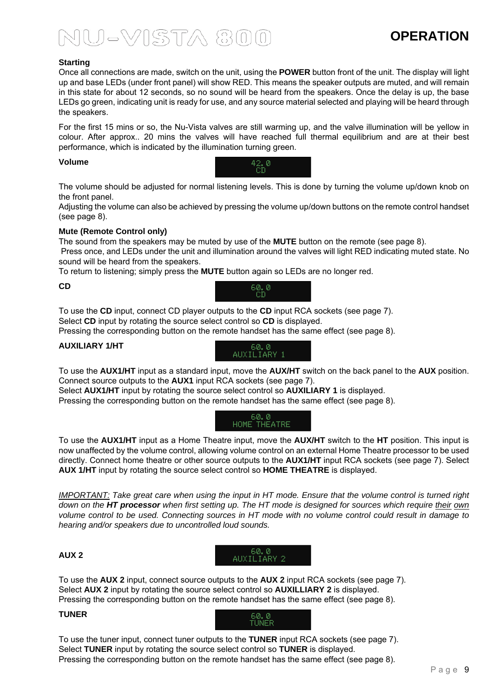### **OPERATION**

#### **Starting**

Once all connections are made, switch on the unit, using the **POWER** button front of the unit. The display will light up and base LEDs (under front panel) will show RED. This means the speaker outputs are muted, and will remain in this state for about 12 seconds, so no sound will be heard from the speakers. Once the delay is up, the base LEDs go green, indicating unit is ready for use, and any source material selected and playing will be heard through the speakers.

For the first 15 mins or so, the Nu-Vista valves are still warming up, and the valve illumination will be yellow in colour. After approx.. 20 mins the valves will have reached full thermal equilibrium and are at their best performance, which is indicated by the illumination turning green.

#### **Volume**



The volume should be adjusted for normal listening levels. This is done by turning the volume up/down knob on the front panel.

Adjusting the volume can also be achieved by pressing the volume up/down buttons on the remote control handset (see page 8).

#### **Mute (Remote Control only)**

The sound from the speakers may be muted by use of the **MUTE** button on the remote (see page 8).

 Press once, and LEDs under the unit and illumination around the valves will light RED indicating muted state. No sound will be heard from the speakers.

To return to listening; simply press the **MUTE** button again so LEDs are no longer red.

#### **CD**



To use the **CD** input, connect CD player outputs to the **CD** input RCA sockets (see page 7). Select **CD** input by rotating the source select control so **CD** is displayed.

Pressing the corresponding button on the remote handset has the same effect (see page 8).

#### **AUXILIARY 1/HT**



To use the **AUX1/HT** input as a standard input, move the **AUX/HT** switch on the back panel to the **AUX** position. Connect source outputs to the **AUX1** input RCA sockets (see page 7).

Select **AUX1/HT** input by rotating the source select control so **AUXILIARY 1** is displayed.

Pressing the corresponding button on the remote handset has the same effect (see page 8).

 60.0 . HOME THEATRE

To use the **AUX1/HT** input as a Home Theatre input, move the **AUX/HT** switch to the **HT** position. This input is now unaffected by the volume control, allowing volume control on an external Home Theatre processor to be used directly. Connect home theatre or other source outputs to the **AUX1/HT** input RCA sockets (see page 7). Select **AUX 1/HT** input by rotating the source select control so **HOME THEATRE** is displayed.

*IMPORTANT: Take great care when using the input in HT mode. Ensure that the volume control is turned right down on the HT processor when first setting up. The HT mode is designed for sources which require their own volume control to be used. Connecting sources in HT mode with no volume control could result in damage to hearing and/or speakers due to uncontrolled loud sounds.* 

> 60.0 . AUXILIARY 2

#### **AUX 2**

To use the **AUX 2** input, connect source outputs to the **AUX 2** input RCA sockets (see page 7). Select **AUX 2** input by rotating the source select control so **AUXILLIARY 2** is displayed. Pressing the corresponding button on the remote handset has the same effect (see page 8).

#### **TUNER**



To use the tuner input, connect tuner outputs to the **TUNER** input RCA sockets (see page 7). Select **TUNER** input by rotating the source select control so **TUNER** is displayed. Pressing the corresponding button on the remote handset has the same effect (see page 8).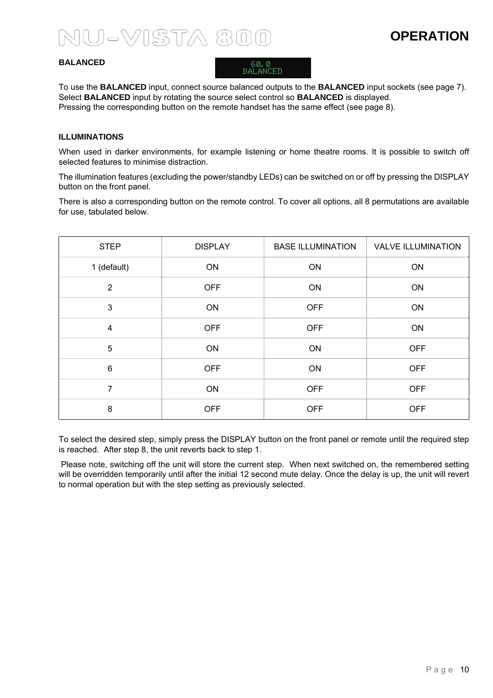### **OPERATION**

#### **BALANCED**



To use the **BALANCED** input, connect source balanced outputs to the **BALANCED** input sockets (see page 7). Select **BALANCED** input by rotating the source select control so **BALANCED** is displayed. Pressing the corresponding button on the remote handset has the same effect (see page 8).

#### **ILLUMINATIONS**

When used in darker environments, for example listening or home theatre rooms. It is possible to switch off selected features to minimise distraction.

The illumination features (excluding the power/standby LEDs) can be switched on or off by pressing the DISPLAY button on the front panel.

There is also a corresponding button on the remote control. To cover all options, all 8 permutations are available for use, tabulated below.

| <b>STEP</b>     | <b>DISPLAY</b> | <b>BASE ILLUMINATION</b> | <b>VALVE ILLUMINATION</b> |
|-----------------|----------------|--------------------------|---------------------------|
| 1 (default)     | ON             | ON                       | ON                        |
| $\overline{2}$  | <b>OFF</b>     | ON                       | ON                        |
| $\mathbf{3}$    | ON             | <b>OFF</b>               | ON                        |
| $\overline{4}$  | <b>OFF</b>     | <b>OFF</b>               | ON                        |
| $\overline{5}$  | ON             | ON                       | <b>OFF</b>                |
| $6\phantom{1}6$ | <b>OFF</b>     | ON                       | <b>OFF</b>                |
| 7               | ON             | <b>OFF</b>               | <b>OFF</b>                |
| 8               | <b>OFF</b>     | <b>OFF</b>               | <b>OFF</b>                |

To select the desired step, simply press the DISPLAY button on the front panel or remote until the required step is reached. After step 8, the unit reverts back to step 1.

 Please note, switching off the unit will store the current step. When next switched on, the remembered setting will be overridden temporarily until after the initial 12 second mute delay. Once the delay is up, the unit will revert to normal operation but with the step setting as previously selected.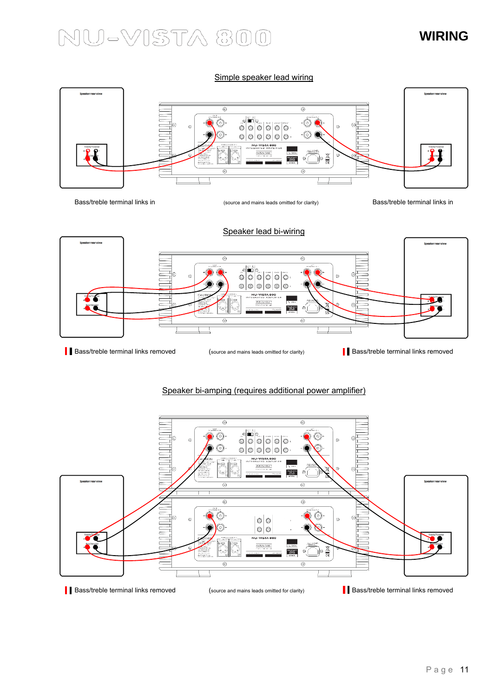### **WIRING**

Simple speaker lead wiring



Bass/treble terminal links in example and mains leads omitted for clarity) Bass/treble terminal links in



#### Speaker bi-amping (requires additional power amplifier)

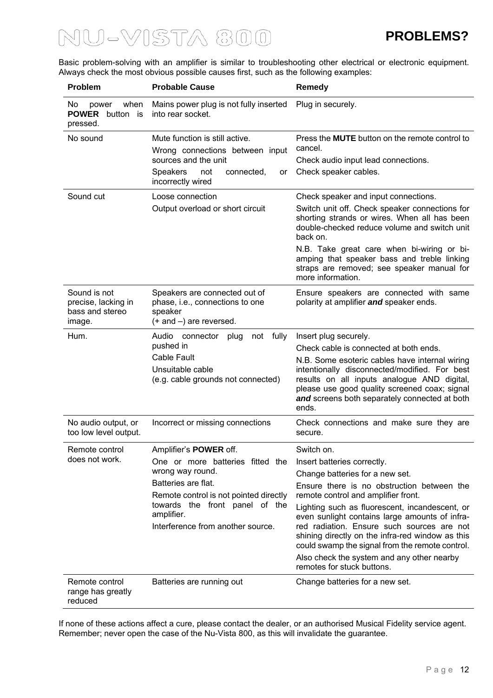Basic problem-solving with an amplifier is similar to troubleshooting other electrical or electronic equipment. Always check the most obvious possible causes first, such as the following examples:

| <b>Problem</b>                                                   | <b>Probable Cause</b>                                                                                                                                                                                                                       | Remedy                                                                                                                                                                                                                                                                                                                                                                                                                                                                                                 |
|------------------------------------------------------------------|---------------------------------------------------------------------------------------------------------------------------------------------------------------------------------------------------------------------------------------------|--------------------------------------------------------------------------------------------------------------------------------------------------------------------------------------------------------------------------------------------------------------------------------------------------------------------------------------------------------------------------------------------------------------------------------------------------------------------------------------------------------|
| No.<br>when<br>power<br><b>POWER</b> button is<br>pressed.       | Mains power plug is not fully inserted<br>into rear socket.                                                                                                                                                                                 | Plug in securely.                                                                                                                                                                                                                                                                                                                                                                                                                                                                                      |
| No sound                                                         | Mute function is still active.<br>Wrong connections between input<br>sources and the unit<br><b>Speakers</b><br>connected.<br>not<br>or<br>incorrectly wired                                                                                | Press the <b>MUTE</b> button on the remote control to<br>cancel.<br>Check audio input lead connections.<br>Check speaker cables.                                                                                                                                                                                                                                                                                                                                                                       |
| Sound cut                                                        | Loose connection<br>Output overload or short circuit                                                                                                                                                                                        | Check speaker and input connections.<br>Switch unit off. Check speaker connections for<br>shorting strands or wires. When all has been<br>double-checked reduce volume and switch unit<br>back on.<br>N.B. Take great care when bi-wiring or bi-<br>amping that speaker bass and treble linking<br>straps are removed; see speaker manual for<br>more information.                                                                                                                                     |
| Sound is not<br>precise, lacking in<br>bass and stereo<br>image. | Speakers are connected out of<br>phase, i.e., connections to one<br>speaker<br>$(+$ and $-)$ are reversed.                                                                                                                                  | Ensure speakers are connected with same<br>polarity at amplifier and speaker ends.                                                                                                                                                                                                                                                                                                                                                                                                                     |
| Hum.                                                             | Audio<br>not fully<br>connector<br>plug<br>pushed in<br>Cable Fault<br>Unsuitable cable<br>(e.g. cable grounds not connected)                                                                                                               | Insert plug securely.<br>Check cable is connected at both ends.<br>N.B. Some esoteric cables have internal wiring<br>intentionally disconnected/modified. For best<br>results on all inputs analogue AND digital,<br>please use good quality screened coax; signal<br>and screens both separately connected at both<br>ends.                                                                                                                                                                           |
| No audio output, or<br>too low level output.                     | Incorrect or missing connections                                                                                                                                                                                                            | Check connections and make sure they are<br>secure.                                                                                                                                                                                                                                                                                                                                                                                                                                                    |
| Remote control<br>does not work.                                 | Amplifier's <b>POWER</b> off.<br>One or more batteries fitted the<br>wrong way round.<br>Batteries are flat.<br>Remote control is not pointed directly<br>towards the front panel of the<br>amplifier.<br>Interference from another source. | Switch on.<br>Insert batteries correctly.<br>Change batteries for a new set.<br>Ensure there is no obstruction between the<br>remote control and amplifier front.<br>Lighting such as fluorescent, incandescent, or<br>even sunlight contains large amounts of infra-<br>red radiation. Ensure such sources are not<br>shining directly on the infra-red window as this<br>could swamp the signal from the remote control.<br>Also check the system and any other nearby<br>remotes for stuck buttons. |
| Remote control<br>range has greatly<br>reduced                   | Batteries are running out                                                                                                                                                                                                                   | Change batteries for a new set.                                                                                                                                                                                                                                                                                                                                                                                                                                                                        |

If none of these actions affect a cure, please contact the dealer, or an authorised Musical Fidelity service agent. Remember; never open the case of the Nu-Vista 800, as this will invalidate the guarantee.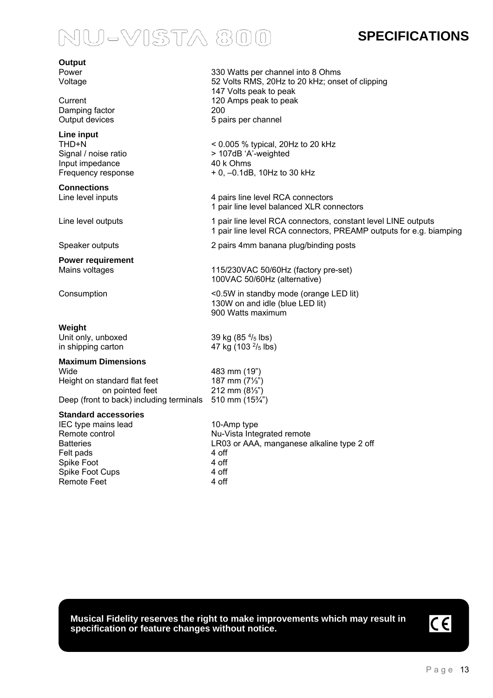### **SPECIFICATIONS**

| Output                                             |                                                                                                                                     |
|----------------------------------------------------|-------------------------------------------------------------------------------------------------------------------------------------|
| Power<br>Voltage                                   | 330 Watts per channel into 8 Ohms<br>52 Volts RMS, 20Hz to 20 kHz; onset of clipping                                                |
|                                                    | 147 Volts peak to peak                                                                                                              |
| Current<br>Damping factor                          | 120 Amps peak to peak<br>200                                                                                                        |
| Output devices                                     | 5 pairs per channel                                                                                                                 |
| Line input                                         |                                                                                                                                     |
| THD+N<br>Signal / noise ratio                      | $<$ 0.005 % typical, 20Hz to 20 kHz<br>> 107dB 'A'-weighted                                                                         |
| Input impedance                                    | 40 k Ohms                                                                                                                           |
| Frequency response                                 | + 0, -0.1dB, 10Hz to 30 kHz                                                                                                         |
| <b>Connections</b>                                 |                                                                                                                                     |
| Line level inputs                                  | 4 pairs line level RCA connectors<br>1 pair line level balanced XLR connectors                                                      |
| Line level outputs                                 | 1 pair line level RCA connectors, constant level LINE outputs<br>1 pair line level RCA connectors, PREAMP outputs for e.g. biamping |
| Speaker outputs                                    | 2 pairs 4mm banana plug/binding posts                                                                                               |
| <b>Power requirement</b>                           |                                                                                                                                     |
| Mains voltages                                     | 115/230VAC 50/60Hz (factory pre-set)<br>100VAC 50/60Hz (alternative)                                                                |
| Consumption                                        | <0.5W in standby mode (orange LED lit)<br>130W on and idle (blue LED lit)<br>900 Watts maximum                                      |
| Weight                                             |                                                                                                                                     |
| Unit only, unboxed                                 | 39 kg $(854/5$ lbs)                                                                                                                 |
| in shipping carton                                 | 47 kg (103 $\frac{2}{5}$ lbs)                                                                                                       |
| <b>Maximum Dimensions</b><br>Wide                  | 483 mm (19")                                                                                                                        |
| Height on standard flat feet                       | 187 mm $(7\frac{1}{3})$                                                                                                             |
| on pointed feet                                    | 212 mm $(8\frac{1}{3})$                                                                                                             |
| Deep (front to back) including terminals           | 510 mm $(15\frac{3}{4})$                                                                                                            |
| <b>Standard accessories</b><br>IEC type mains lead | 10-Amp type                                                                                                                         |
| Remote control                                     | Nu-Vista Integrated remote                                                                                                          |
| <b>Batteries</b>                                   | LR03 or AAA, manganese alkaline type 2 off                                                                                          |
| Felt pads                                          | 4 off<br>4 off                                                                                                                      |
| Spike Foot<br>Spike Foot Cups                      | 4 off                                                                                                                               |
| Remote Feet                                        | 4 off                                                                                                                               |
|                                                    |                                                                                                                                     |

**Musical Fidelity reserves the right to make improvements which may result in specification or feature changes without notice.**